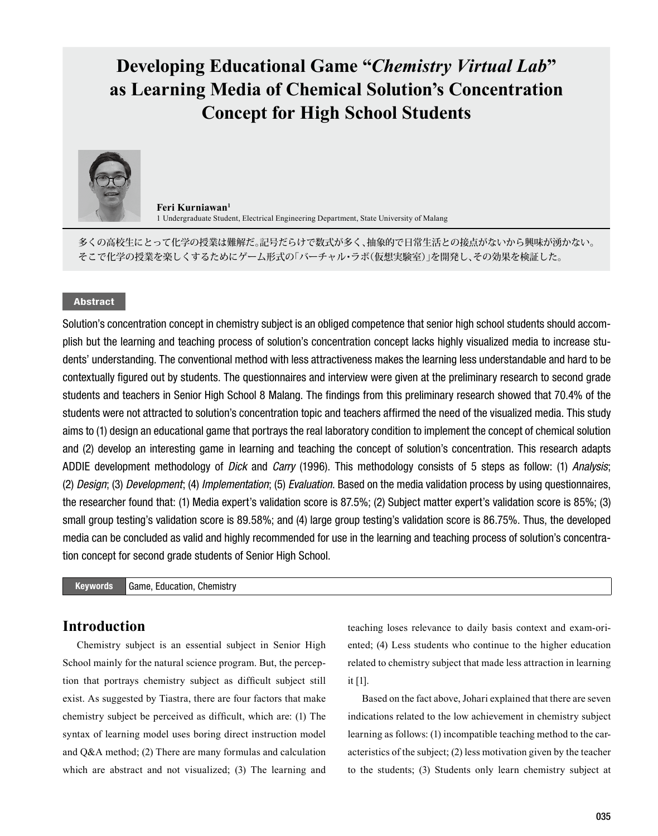# **Developing Educational Game "***Chemistry Virtual Lab***" as Learning Media of Chemical Solution's Concentration Concept for High School Students**



**Feri Kurniawan1** 1 Undergraduate Student, Electrical Engineering Department, State University of Malang

多くの高校生にとって化学の授業は難解だ。記号だらけで数式が多く、抽象的で日常生活との接点がないから興味が湧かない。 そこで化学の授業を楽しくするためにゲーム形式の「バーチャル・ラボ(仮想実験室)」を開発し、その効果を検証した。

# Abstract

Solution's concentration concept in chemistry subject is an obliged competence that senior high school students should accomplish but the learning and teaching process of solution's concentration concept lacks highly visualized media to increase students' understanding. The conventional method with less attractiveness makes the learning less understandable and hard to be contextually figured out by students. The questionnaires and interview were given at the preliminary research to second grade students and teachers in Senior High School 8 Malang. The findings from this preliminary research showed that 70.4% of the students were not attracted to solution's concentration topic and teachers affirmed the need of the visualized media. This study aims to (1) design an educational game that portrays the real laboratory condition to implement the concept of chemical solution and (2) develop an interesting game in learning and teaching the concept of solution's concentration. This research adapts ADDIE development methodology of *Dick* and *Carry* (1996). This methodology consists of 5 steps as follow: (1) *Analysis*; (2) *Design*; (3) *Development*; (4) *Implementation*; (5) *Evaluation*. Based on the media validation process by using questionnaires, the researcher found that: (1) Media expert's validation score is 87.5%; (2) Subject matter expert's validation score is 85%; (3) small group testing's validation score is 89.58%; and (4) large group testing's validation score is 86.75%. Thus, the developed media can be concluded as valid and highly recommended for use in the learning and teaching process of solution's concentration concept for second grade students of Senior High School.

### Keywords Game, Education, Chemistry

# **Introduction**

Chemistry subject is an essential subject in Senior High School mainly for the natural science program. But, the perception that portrays chemistry subject as difficult subject still exist. As suggested by Tiastra, there are four factors that make chemistry subject be perceived as difficult, which are: (1) The syntax of learning model uses boring direct instruction model and Q&A method; (2) There are many formulas and calculation which are abstract and not visualized; (3) The learning and teaching loses relevance to daily basis context and exam-oriented; (4) Less students who continue to the higher education related to chemistry subject that made less attraction in learning it [1].

Based on the fact above, Johari explained that there are seven indications related to the low achievement in chemistry subject learning as follows: (1) incompatible teaching method to the caracteristics of the subject; (2) less motivation given by the teacher to the students; (3) Students only learn chemistry subject at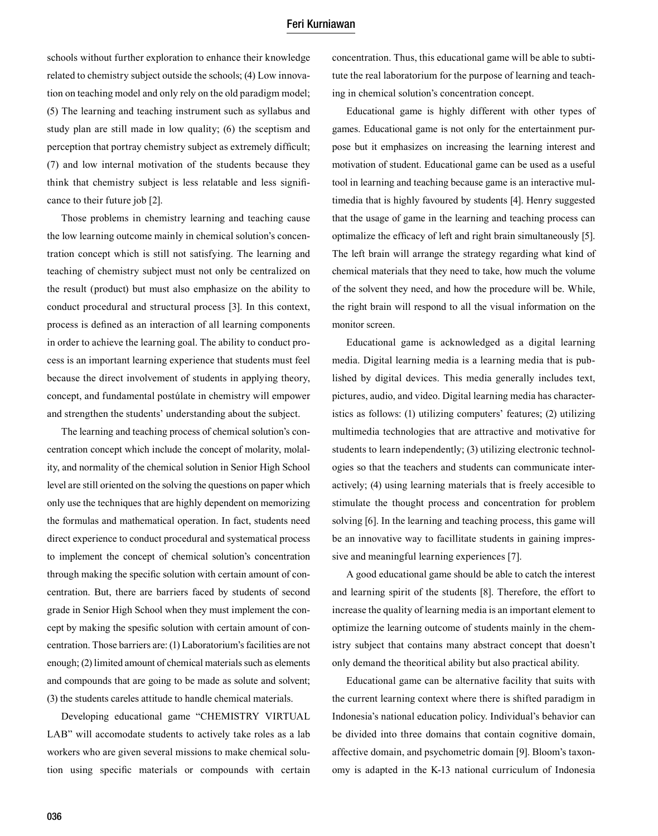### Feri Kurniawan

schools without further exploration to enhance their knowledge related to chemistry subject outside the schools; (4) Low innovation on teaching model and only rely on the old paradigm model; (5) The learning and teaching instrument such as syllabus and study plan are still made in low quality; (6) the sceptism and perception that portray chemistry subject as extremely difficult; (7) and low internal motivation of the students because they think that chemistry subject is less relatable and less significance to their future job [2].

Those problems in chemistry learning and teaching cause the low learning outcome mainly in chemical solution's concentration concept which is still not satisfying. The learning and teaching of chemistry subject must not only be centralized on the result (product) but must also emphasize on the ability to conduct procedural and structural process [3]. In this context, process is defined as an interaction of all learning components in order to achieve the learning goal. The ability to conduct process is an important learning experience that students must feel because the direct involvement of students in applying theory, concept, and fundamental postúlate in chemistry will empower and strengthen the students' understanding about the subject.

The learning and teaching process of chemical solution's concentration concept which include the concept of molarity, molality, and normality of the chemical solution in Senior High School level are still oriented on the solving the questions on paper which only use the techniques that are highly dependent on memorizing the formulas and mathematical operation. In fact, students need direct experience to conduct procedural and systematical process to implement the concept of chemical solution's concentration through making the specific solution with certain amount of concentration. But, there are barriers faced by students of second grade in Senior High School when they must implement the concept by making the spesific solution with certain amount of concentration. Those barriers are: (1) Laboratorium's facilities are not enough; (2) limited amount of chemical materials such as elements and compounds that are going to be made as solute and solvent; (3) the students careles attitude to handle chemical materials.

Developing educational game "CHEMISTRY VIRTUAL LAB" will accomodate students to actively take roles as a lab workers who are given several missions to make chemical solution using specific materials or compounds with certain concentration. Thus, this educational game will be able to subtitute the real laboratorium for the purpose of learning and teaching in chemical solution's concentration concept.

Educational game is highly different with other types of games. Educational game is not only for the entertainment purpose but it emphasizes on increasing the learning interest and motivation of student. Educational game can be used as a useful tool in learning and teaching because game is an interactive multimedia that is highly favoured by students [4]. Henry suggested that the usage of game in the learning and teaching process can optimalize the efficacy of left and right brain simultaneously [5]. The left brain will arrange the strategy regarding what kind of chemical materials that they need to take, how much the volume of the solvent they need, and how the procedure will be. While, the right brain will respond to all the visual information on the monitor screen.

Educational game is acknowledged as a digital learning media. Digital learning media is a learning media that is published by digital devices. This media generally includes text, pictures, audio, and video. Digital learning media has characteristics as follows: (1) utilizing computers' features; (2) utilizing multimedia technologies that are attractive and motivative for students to learn independently; (3) utilizing electronic technologies so that the teachers and students can communicate interactively; (4) using learning materials that is freely accesible to stimulate the thought process and concentration for problem solving [6]. In the learning and teaching process, this game will be an innovative way to facillitate students in gaining impressive and meaningful learning experiences [7].

A good educational game should be able to catch the interest and learning spirit of the students [8]. Therefore, the effort to increase the quality of learning media is an important element to optimize the learning outcome of students mainly in the chemistry subject that contains many abstract concept that doesn't only demand the theoritical ability but also practical ability.

Educational game can be alternative facility that suits with the current learning context where there is shifted paradigm in Indonesia's national education policy. Individual's behavior can be divided into three domains that contain cognitive domain, affective domain, and psychometric domain [9]. Bloom's taxonomy is adapted in the K-13 national curriculum of Indonesia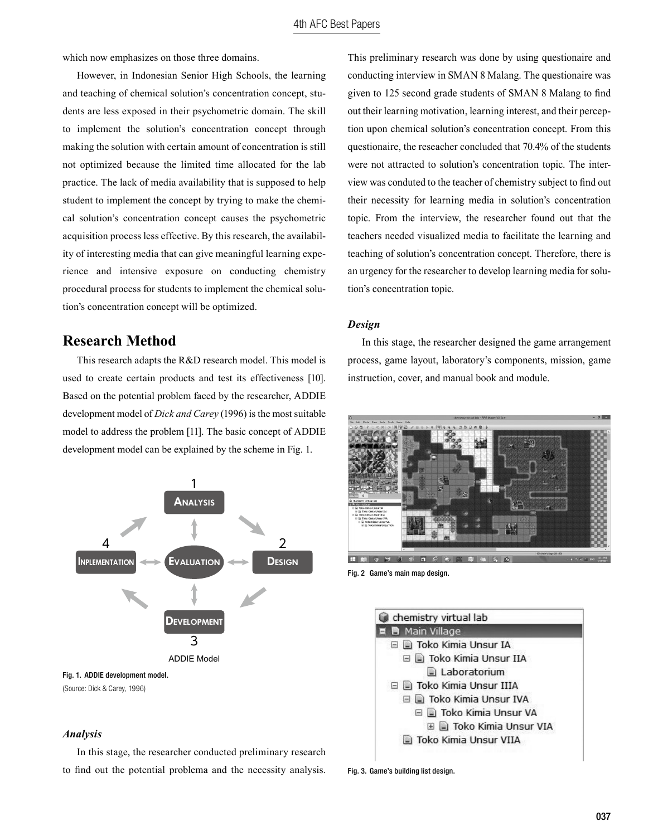which now emphasizes on those three domains.

However, in Indonesian Senior High Schools, the learning and teaching of chemical solution's concentration concept, students are less exposed in their psychometric domain. The skill to implement the solution's concentration concept through making the solution with certain amount of concentration is still not optimized because the limited time allocated for the lab practice. The lack of media availability that is supposed to help student to implement the concept by trying to make the chemical solution's concentration concept causes the psychometric acquisition process less effective. By this research, the availability of interesting media that can give meaningful learning experience and intensive exposure on conducting chemistry procedural process for students to implement the chemical solution's concentration concept will be optimized.

# **Research Method**

This research adapts the R&D research model. This model is used to create certain products and test its effectiveness [10]. Based on the potential problem faced by the researcher, ADDIE development model of *Dick and Carey* (1996) is the most suitable model to address the problem [11]. The basic concept of ADDIE development model can be explained by the scheme in Fig. 1.



(Source: Dick & Carey, 1996)

#### *Analysis*

In this stage, the researcher conducted preliminary research to find out the potential problema and the necessity analysis.

This preliminary research was done by using questionaire and conducting interview in SMAN 8 Malang. The questionaire was given to 125 second grade students of SMAN 8 Malang to find out their learning motivation, learning interest, and their perception upon chemical solution's concentration concept. From this questionaire, the reseacher concluded that 70.4% of the students were not attracted to solution's concentration topic. The interview was conduted to the teacher of chemistry subject to find out their necessity for learning media in solution's concentration topic. From the interview, the researcher found out that the teachers needed visualized media to facilitate the learning and teaching of solution's concentration concept. Therefore, there is an urgency for the researcher to develop learning media for solution's concentration topic.

## *Design*

In this stage, the researcher designed the game arrangement process, game layout, laboratory's components, mission, game instruction, cover, and manual book and module.



Fig. 2 Game's main map design.



Fig. 3. Game's building list design.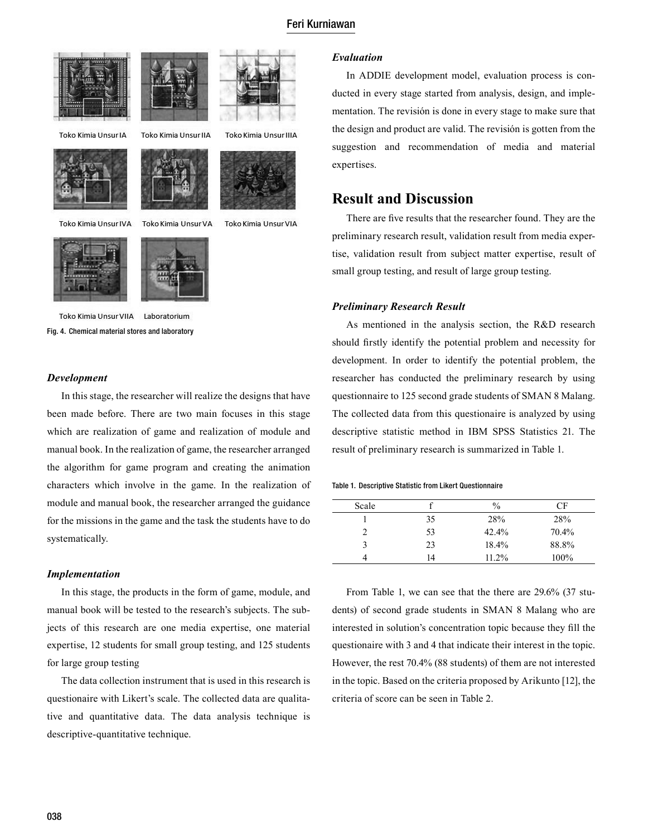# Feri Kurniawan





Toko Kimia Unsur IA





Toko Kimia Unsur IIA

Toko Kimia Unsur IVA

Toko Kimia Unsur VA



Toko Kimia Unsur IIIA





Toko Kimia Unsur VIIA Laboratorium Fig. 4. Chemical material stores and laboratory

### *Development*

In this stage, the researcher will realize the designs that have been made before. There are two main focuses in this stage which are realization of game and realization of module and manual book. In the realization of game, the researcher arranged the algorithm for game program and creating the animation characters which involve in the game. In the realization of module and manual book, the researcher arranged the guidance for the missions in the game and the task the students have to do systematically.

### *Implementation*

In this stage, the products in the form of game, module, and manual book will be tested to the research's subjects. The subjects of this research are one media expertise, one material expertise, 12 students for small group testing, and 125 students for large group testing

The data collection instrument that is used in this research is questionaire with Likert's scale. The collected data are qualitative and quantitative data. The data analysis technique is descriptive-quantitative technique.

### *Evaluation*

In ADDIE development model, evaluation process is conducted in every stage started from analysis, design, and implementation. The revisión is done in every stage to make sure that the design and product are valid. The revisión is gotten from the suggestion and recommendation of media and material expertises.

# **Result and Discussion**

There are five results that the researcher found. They are the preliminary research result, validation result from media expertise, validation result from subject matter expertise, result of small group testing, and result of large group testing.

### *Preliminary Research Result*

As mentioned in the analysis section, the R&D research should firstly identify the potential problem and necessity for development. In order to identify the potential problem, the researcher has conducted the preliminary research by using questionnaire to 125 second grade students of SMAN 8 Malang. The collected data from this questionaire is analyzed by using descriptive statistic method in IBM SPSS Statistics 21. The result of preliminary research is summarized in Table 1.

#### Table 1. Descriptive Statistic from Likert Questionnaire

| Scale |    | $\frac{0}{0}$ | СF    |
|-------|----|---------------|-------|
|       | 35 | 28%           | 28%   |
|       | 53 | $42.4\%$      | 70.4% |
|       | 23 | 18.4%         | 88.8% |
|       | 14 | 11.2%         | 100%  |

From Table 1, we can see that the there are 29.6% (37 students) of second grade students in SMAN 8 Malang who are interested in solution's concentration topic because they fill the questionaire with 3 and 4 that indicate their interest in the topic. However, the rest 70.4% (88 students) of them are not interested in the topic. Based on the criteria proposed by Arikunto [12], the criteria of score can be seen in Table 2.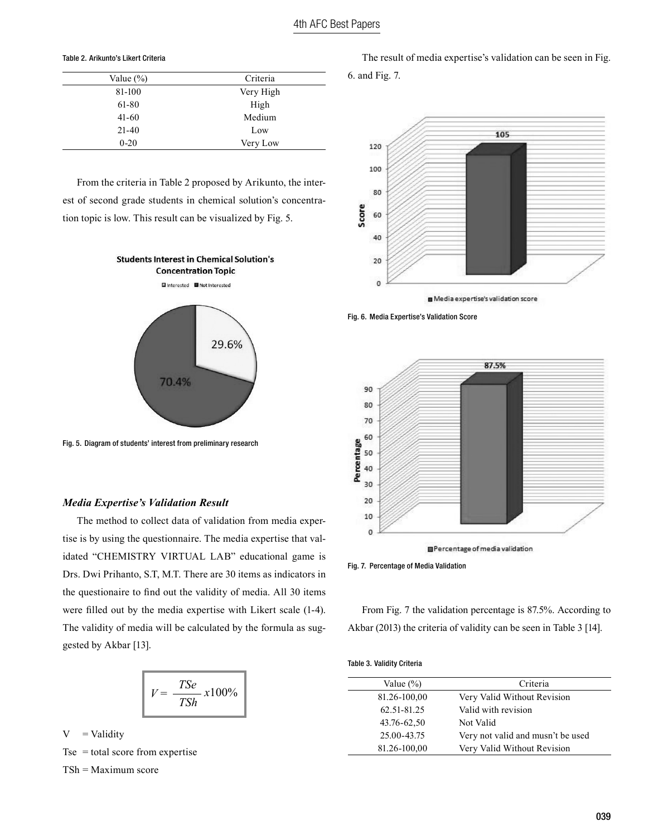#### Table 2. Arikunto's Likert Criteria

| Value $(\% )$ | Criteria  |  |
|---------------|-----------|--|
| 81-100        | Very High |  |
| 61-80         | High      |  |
| $41-60$       | Medium    |  |
| $21 - 40$     | Low       |  |
| $0 - 20$      | Very Low  |  |

From the criteria in Table 2 proposed by Arikunto, the interest of second grade students in chemical solution's concentration topic is low. This result can be visualized by Fig. 5.



Fig. 5. Diagram of students' interest from preliminary research

### *Media Expertise's Validation Result*

The method to collect data of validation from media expertise is by using the questionnaire. The media expertise that validated "CHEMISTRY VIRTUAL LAB" educational game is Drs. Dwi Prihanto, S.T, M.T. There are 30 items as indicators in the questionaire to find out the validity of media. All 30 items were filled out by the media expertise with Likert scale (1-4). The validity of media will be calculated by the formula as suggested by Akbar [13].

$$
V = \frac{TSe}{TSh}x100\%
$$

 $V =$ Validity Tse = total score from expertise

TSh = Maximum score

The result of media expertise's validation can be seen in Fig. 6. and Fig. 7.







Fig. 7. Percentage of Media Validation

From Fig. 7 the validation percentage is 87.5%. According to Akbar (2013) the criteria of validity can be seen in Table 3 [14].

|  | <b>Table 3. Validity Criteria</b> |  |
|--|-----------------------------------|--|
|--|-----------------------------------|--|

| Criteria                                         |  |
|--------------------------------------------------|--|
| Very Valid Without Revision                      |  |
| Valid with revision                              |  |
| Not Valid                                        |  |
| 25.00-43.75<br>Very not valid and musn't be used |  |
| Very Valid Without Revision                      |  |
|                                                  |  |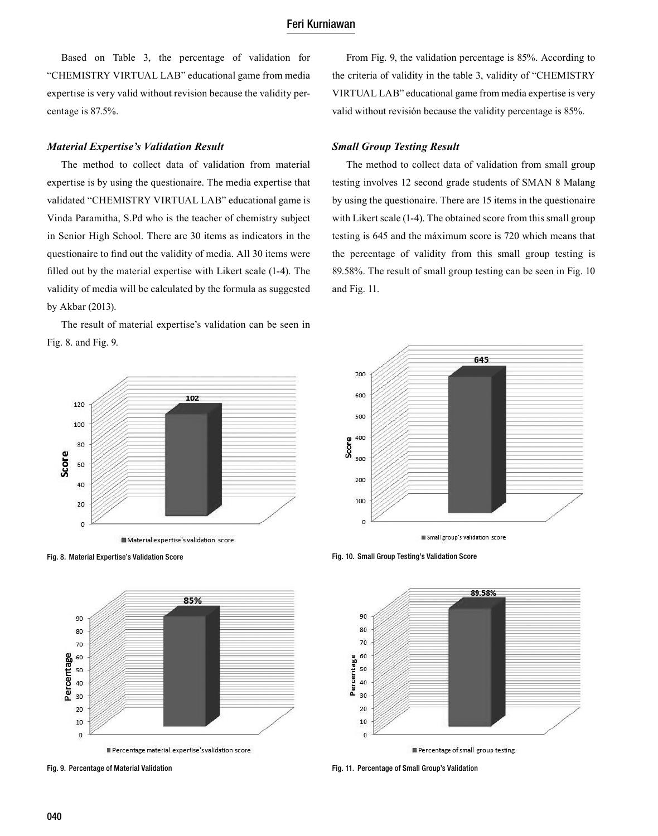Based on Table 3, the percentage of validation for "CHEMISTRY VIRTUAL LAB" educational game from media expertise is very valid without revision because the validity percentage is 87.5%.

#### *Material Expertise's Validation Result*

The method to collect data of validation from material expertise is by using the questionaire. The media expertise that validated "CHEMISTRY VIRTUAL LAB" educational game is Vinda Paramitha, S.Pd who is the teacher of chemistry subject in Senior High School. There are 30 items as indicators in the questionaire to find out the validity of media. All 30 items were filled out by the material expertise with Likert scale (1-4). The validity of media will be calculated by the formula as suggested by Akbar (2013).

The result of material expertise's validation can be seen in Fig. 8. and Fig. 9.



Fig. 8. Material Expertise's Validation Score



Fig. 9. Percentage of Material Validation

From Fig. 9, the validation percentage is 85%. According to the criteria of validity in the table 3, validity of "CHEMISTRY VIRTUAL LAB" educational game from media expertise is very valid without revisión because the validity percentage is 85%.

## *Small Group Testing Result*

The method to collect data of validation from small group testing involves 12 second grade students of SMAN 8 Malang by using the questionaire. There are 15 items in the questionaire with Likert scale (1-4). The obtained score from this small group testing is 645 and the máximum score is 720 which means that the percentage of validity from this small group testing is 89.58%. The result of small group testing can be seen in Fig. 10 and Fig. 11.



Fig. 10. Small Group Testing's Validation Score



Fig. 11. Percentage of Small Group's Validation